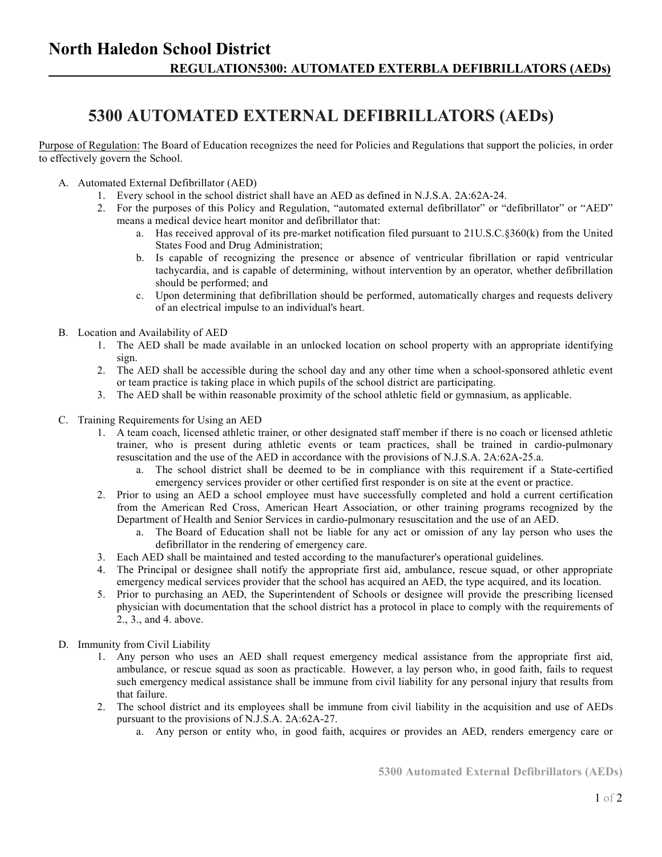## **5300 AUTOMATED EXTERNAL DEFIBRILLATORS (AEDs)**

Purpose of Regulation: The Board of Education recognizes the need for Policies and Regulations that support the policies, in order to effectively govern the School.

- A. Automated External Defibrillator (AED)
	- 1. Every school in the school district shall have an AED as defined in N.J.S.A. 2A:62A-24.
	- 2. For the purposes of this Policy and Regulation, "automated external defibrillator" or "defibrillator" or "AED" means a medical device heart monitor and defibrillator that:
		- a. Has received approval of its pre-market notification filed pursuant to 21U.S.C.§360(k) from the United States Food and Drug Administration;
		- b. Is capable of recognizing the presence or absence of ventricular fibrillation or rapid ventricular tachycardia, and is capable of determining, without intervention by an operator, whether defibrillation should be performed; and
		- c. Upon determining that defibrillation should be performed, automatically charges and requests delivery of an electrical impulse to an individual's heart.
- B. Location and Availability of AED
	- 1. The AED shall be made available in an unlocked location on school property with an appropriate identifying sign.
	- 2. The AED shall be accessible during the school day and any other time when a school-sponsored athletic event or team practice is taking place in which pupils of the school district are participating.
	- 3. The AED shall be within reasonable proximity of the school athletic field or gymnasium, as applicable.
- C. Training Requirements for Using an AED
	- 1. A team coach, licensed athletic trainer, or other designated staff member if there is no coach or licensed athletic trainer, who is present during athletic events or team practices, shall be trained in cardio-pulmonary resuscitation and the use of the AED in accordance with the provisions of N.J.S.A. 2A:62A-25.a.
		- a. The school district shall be deemed to be in compliance with this requirement if a State-certified emergency services provider or other certified first responder is on site at the event or practice.
	- 2. Prior to using an AED a school employee must have successfully completed and hold a current certification from the American Red Cross, American Heart Association, or other training programs recognized by the Department of Health and Senior Services in cardio-pulmonary resuscitation and the use of an AED.
		- a. The Board of Education shall not be liable for any act or omission of any lay person who uses the defibrillator in the rendering of emergency care.
	- 3. Each AED shall be maintained and tested according to the manufacturer's operational guidelines.
	- 4. The Principal or designee shall notify the appropriate first aid, ambulance, rescue squad, or other appropriate emergency medical services provider that the school has acquired an AED, the type acquired, and its location.
	- 5. Prior to purchasing an AED, the Superintendent of Schools or designee will provide the prescribing licensed physician with documentation that the school district has a protocol in place to comply with the requirements of 2., 3., and 4. above.
- D. Immunity from Civil Liability
	- 1. Any person who uses an AED shall request emergency medical assistance from the appropriate first aid, ambulance, or rescue squad as soon as practicable. However, a lay person who, in good faith, fails to request such emergency medical assistance shall be immune from civil liability for any personal injury that results from that failure.
	- 2. The school district and its employees shall be immune from civil liability in the acquisition and use of AEDs pursuant to the provisions of N.J.S.A. 2A:62A-27.
		- a. Any person or entity who, in good faith, acquires or provides an AED, renders emergency care or